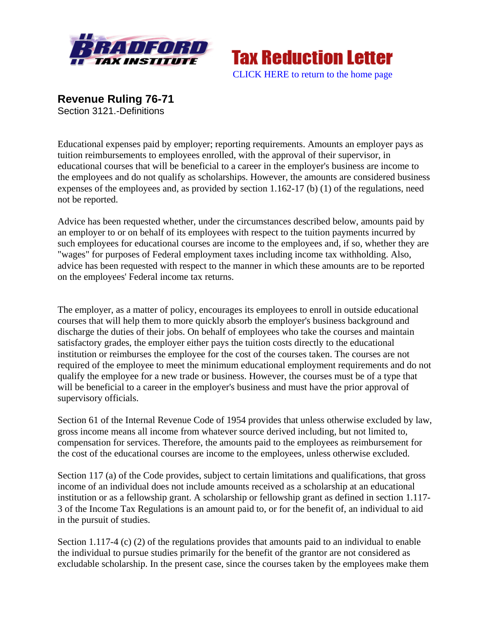



**Revenue Ruling 76-71**  Section 3121.-Definitions

Educational expenses paid by employer; reporting requirements. Amounts an employer pays as tuition reimbursements to employees enrolled, with the approval of their supervisor, in educational courses that will be beneficial to a career in the employer's business are income to the employees and do not qualify as scholarships. However, the amounts are considered business expenses of the employees and, as provided by section 1.162-17 (b) (1) of the regulations, need not be reported.

Advice has been requested whether, under the circumstances described below, amounts paid by an employer to or on behalf of its employees with respect to the tuition payments incurred by such employees for educational courses are income to the employees and, if so, whether they are "wages" for purposes of Federal employment taxes including income tax withholding. Also, advice has been requested with respect to the manner in which these amounts are to be reported on the employees' Federal income tax returns.

The employer, as a matter of policy, encourages its employees to enroll in outside educational courses that will help them to more quickly absorb the employer's business background and discharge the duties of their jobs. On behalf of employees who take the courses and maintain satisfactory grades, the employer either pays the tuition costs directly to the educational institution or reimburses the employee for the cost of the courses taken. The courses are not required of the employee to meet the minimum educational employment requirements and do not qualify the employee for a new trade or business. However, the courses must be of a type that will be beneficial to a career in the employer's business and must have the prior approval of supervisory officials.

Section 61 of the Internal Revenue Code of 1954 provides that unless otherwise excluded by law, gross income means all income from whatever source derived including, but not limited to, compensation for services. Therefore, the amounts paid to the employees as reimbursement for the cost of the educational courses are income to the employees, unless otherwise excluded.

Section 117 (a) of the Code provides, subject to certain limitations and qualifications, that gross income of an individual does not include amounts received as a scholarship at an educational institution or as a fellowship grant. A scholarship or fellowship grant as defined in section 1.117- 3 of the Income Tax Regulations is an amount paid to, or for the benefit of, an individual to aid in the pursuit of studies.

Section 1.117-4 (c) (2) of the regulations provides that amounts paid to an individual to enable the individual to pursue studies primarily for the benefit of the grantor are not considered as excludable scholarship. In the present case, since the courses taken by the employees make them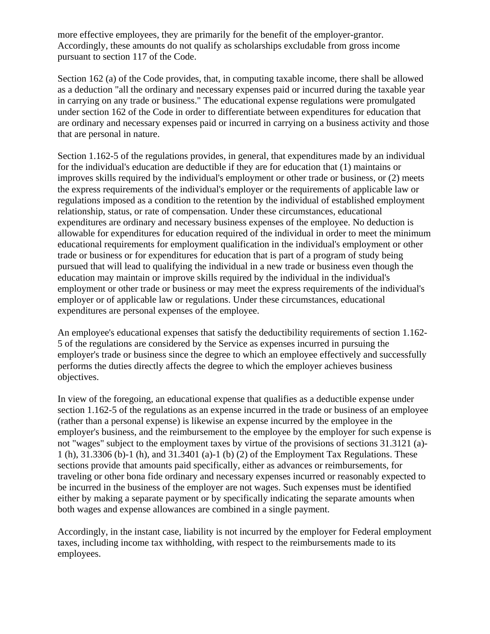more effective employees, they are primarily for the benefit of the employer-grantor. Accordingly, these amounts do not qualify as scholarships excludable from gross income pursuant to section 117 of the Code.

Section 162 (a) of the Code provides, that, in computing taxable income, there shall be allowed as a deduction "all the ordinary and necessary expenses paid or incurred during the taxable year in carrying on any trade or business." The educational expense regulations were promulgated under section 162 of the Code in order to differentiate between expenditures for education that are ordinary and necessary expenses paid or incurred in carrying on a business activity and those that are personal in nature.

Section 1.162-5 of the regulations provides, in general, that expenditures made by an individual for the individual's education are deductible if they are for education that (1) maintains or improves skills required by the individual's employment or other trade or business, or (2) meets the express requirements of the individual's employer or the requirements of applicable law or regulations imposed as a condition to the retention by the individual of established employment relationship, status, or rate of compensation. Under these circumstances, educational expenditures are ordinary and necessary business expenses of the employee. No deduction is allowable for expenditures for education required of the individual in order to meet the minimum educational requirements for employment qualification in the individual's employment or other trade or business or for expenditures for education that is part of a program of study being pursued that will lead to qualifying the individual in a new trade or business even though the education may maintain or improve skills required by the individual in the individual's employment or other trade or business or may meet the express requirements of the individual's employer or of applicable law or regulations. Under these circumstances, educational expenditures are personal expenses of the employee.

An employee's educational expenses that satisfy the deductibility requirements of section 1.162- 5 of the regulations are considered by the Service as expenses incurred in pursuing the employer's trade or business since the degree to which an employee effectively and successfully performs the duties directly affects the degree to which the employer achieves business objectives.

In view of the foregoing, an educational expense that qualifies as a deductible expense under section 1.162-5 of the regulations as an expense incurred in the trade or business of an employee (rather than a personal expense) is likewise an expense incurred by the employee in the employer's business, and the reimbursement to the employee by the employer for such expense is not "wages" subject to the employment taxes by virtue of the provisions of sections 31.3121 (a)- 1 (h), 31.3306 (b)-1 (h), and 31.3401 (a)-1 (b) (2) of the Employment Tax Regulations. These sections provide that amounts paid specifically, either as advances or reimbursements, for traveling or other bona fide ordinary and necessary expenses incurred or reasonably expected to be incurred in the business of the employer are not wages. Such expenses must be identified either by making a separate payment or by specifically indicating the separate amounts when both wages and expense allowances are combined in a single payment.

Accordingly, in the instant case, liability is not incurred by the employer for Federal employment taxes, including income tax withholding, with respect to the reimbursements made to its employees.